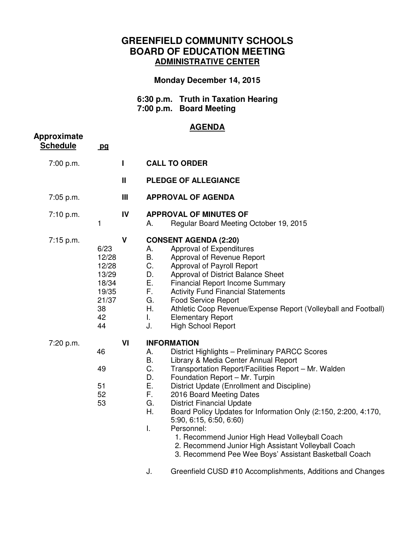## **GREENFIELD COMMUNITY SCHOOLS BOARD OF EDUCATION MEETING ADMINISTRATIVE CENTER**

## **Monday December 14, 2015**

 **6:30 p.m. Truth in Taxation Hearing 7:00 p.m. Board Meeting** 

## **AGENDA**

| Approximate<br><b>Schedule</b> | pq                                                                           |                |                                                                                                                                                                                                                                                                                                                                                                                                                                                                                                                                                                                                                                                                 |
|--------------------------------|------------------------------------------------------------------------------|----------------|-----------------------------------------------------------------------------------------------------------------------------------------------------------------------------------------------------------------------------------------------------------------------------------------------------------------------------------------------------------------------------------------------------------------------------------------------------------------------------------------------------------------------------------------------------------------------------------------------------------------------------------------------------------------|
| 7:00 p.m.                      |                                                                              | Н              | <b>CALL TO ORDER</b>                                                                                                                                                                                                                                                                                                                                                                                                                                                                                                                                                                                                                                            |
|                                |                                                                              | $\mathbf{II}$  | PLEDGE OF ALLEGIANCE                                                                                                                                                                                                                                                                                                                                                                                                                                                                                                                                                                                                                                            |
| 7:05 p.m.                      |                                                                              | $\mathbf{III}$ | <b>APPROVAL OF AGENDA</b>                                                                                                                                                                                                                                                                                                                                                                                                                                                                                                                                                                                                                                       |
| 7:10 p.m.                      | 1                                                                            | IV             | <b>APPROVAL OF MINUTES OF</b><br>Regular Board Meeting October 19, 2015<br>А.                                                                                                                                                                                                                                                                                                                                                                                                                                                                                                                                                                                   |
| 7:15 p.m.                      | 6/23<br>12/28<br>12/28<br>13/29<br>18/34<br>19/35<br>21/37<br>38<br>42<br>44 | $\mathbf v$    | <b>CONSENT AGENDA (2:20)</b><br>Approval of Expenditures<br>А.<br>B.<br>Approval of Revenue Report<br>C.<br>Approval of Payroll Report<br>D.<br>Approval of District Balance Sheet<br>Ε.<br><b>Financial Report Income Summary</b><br>F.<br><b>Activity Fund Financial Statements</b><br>G.<br><b>Food Service Report</b><br>Η.<br>Athletic Coop Revenue/Expense Report (Volleyball and Football)<br>L.<br><b>Elementary Report</b><br>J.<br><b>High School Report</b>                                                                                                                                                                                          |
| 7:20 p.m.                      | 46<br>49<br>51<br>52<br>53                                                   | VI             | <b>INFORMATION</b><br>District Highlights - Preliminary PARCC Scores<br>А.<br><b>B.</b><br>Library & Media Center Annual Report<br>C.<br>Transportation Report/Facilities Report - Mr. Walden<br>D.<br>Foundation Report - Mr. Turpin<br>Ε.<br>District Update (Enrollment and Discipline)<br>F.<br>2016 Board Meeting Dates<br>G.<br><b>District Financial Update</b><br>Η.<br>Board Policy Updates for Information Only (2:150, 2:200, 4:170,<br>5:90, 6:15, 6:50, 6:60<br>Personnel:<br>I.<br>1. Recommend Junior High Head Volleyball Coach<br>2. Recommend Junior High Assistant Volleyball Coach<br>3. Recommend Pee Wee Boys' Assistant Basketball Coach |
|                                |                                                                              |                | J.<br>Greenfield CUSD #10 Accomplishments, Additions and Changes                                                                                                                                                                                                                                                                                                                                                                                                                                                                                                                                                                                                |